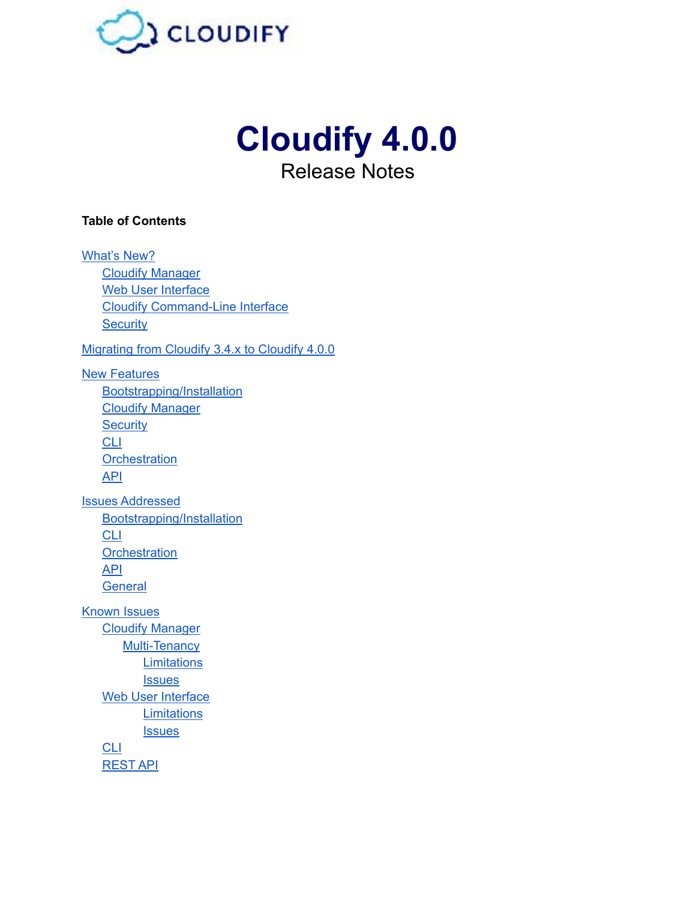

# **Cloudify 4.0.0**  Release Notes

### **Table of Contents**

[What's New?](#page-1-0)  [Cloudify Manager](#page-1-1) Web User Interface [Cloudify Command-Line Interface](#page-2-1)  **Security** [Migrating from Cloudify 3.4.x to Cloudify 4.0.0](#page-4-0)  [New Features](#page-4-1) [Bootstrapping/Installation](#page-4-2)  [Cloudify Manager](#page-5-0) **Security** [CLI](#page-5-2) **[Orchestration](#page-7-0)** [API](#page-7-1)  [Issues Addressed](#page-8-0)  [Bootstrapping/Installation](#page-8-1)  [CLI](#page-8-2) **[Orchestration](#page-8-3)** [API](#page-9-0)  **[General](#page-9-1)** [Known Issues](#page-10-0) [Cloudify Manager](#page-10-1) Multi-Tenancy **Limitations Issues** Web User Interface **Limitations Issues [CLI](#page-10-8)** [REST API](#page-11-0)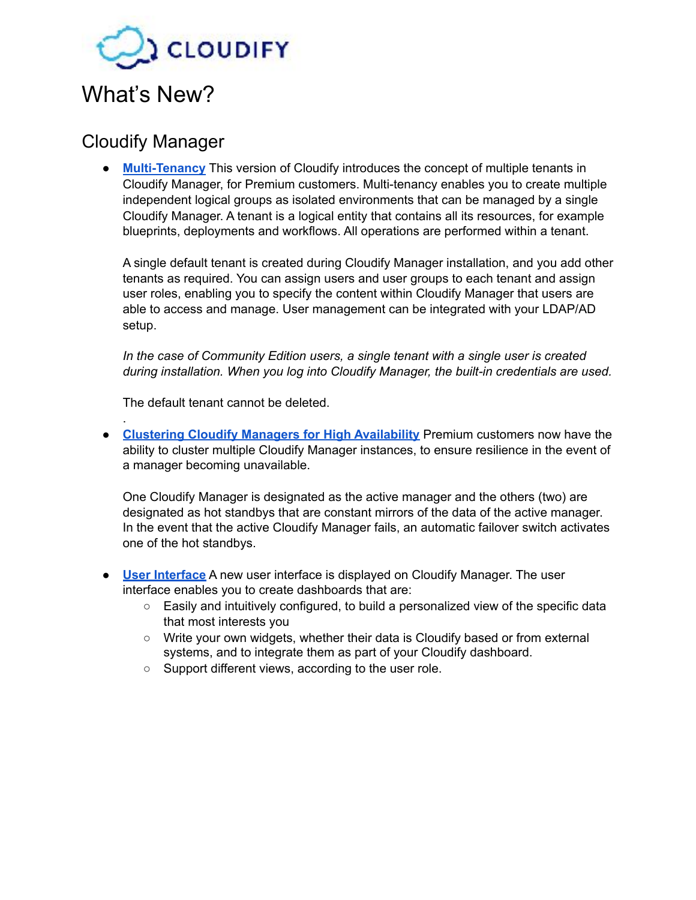

## <span id="page-1-1"></span><span id="page-1-0"></span>Cloudify Manager

.

**• [Multi-Tenancy](http://docs.getcloudify.org/4.0.0/manager/implement-multi-tenancy/)** This version of Cloudify introduces the concept of multiple tenants in Cloudify Manager, for Premium customers. Multi-tenancy enables you to create multiple independent logical groups as isolated environments that can be managed by a single Cloudify Manager. A tenant is a logical entity that contains all its resources, for example blueprints, deployments and workflows. All operations are performed within a tenant.

A single default tenant is created during Cloudify Manager installation, and you add other tenants as required. You can assign users and user groups to each tenant and assign user roles, enabling you to specify the content within Cloudify Manager that users are able to access and manage. User management can be integrated with your LDAP/AD setup.

*In the case of Community Edition users, a single tenant with a single user is created during installation. When you log into Cloudify Manager, the built-in credentials are used.*

The default tenant cannot be deleted.

● **[Clustering Cloudify Managers for High Availability](http://docs.getcloudify.org/4.0.0/manager/high-availability-clusters/)** Premium customers now have the ability to cluster multiple Cloudify Manager instances, to ensure resilience in the event of a manager becoming unavailable.

One Cloudify Manager is designated as the active manager and the others (two) are designated as hot standbys that are constant mirrors of the data of the active manager. In the event that the active Cloudify Manager fails, an automatic failover switch activates one of the hot standbys.

- **[User Interface](http://docs.getcloudify.org/4.0.0/manager_webui/configure-display/)** A new user interface is displayed on Cloudify Manager. The user interface enables you to create dashboards that are:
	- Easily and intuitively configured, to build a personalized view of the specific data that most interests you
	- Write your own widgets, whether their data is Cloudify based or from external systems, and to integrate them as part of your Cloudify dashboard.
	- Support different views, according to the user role.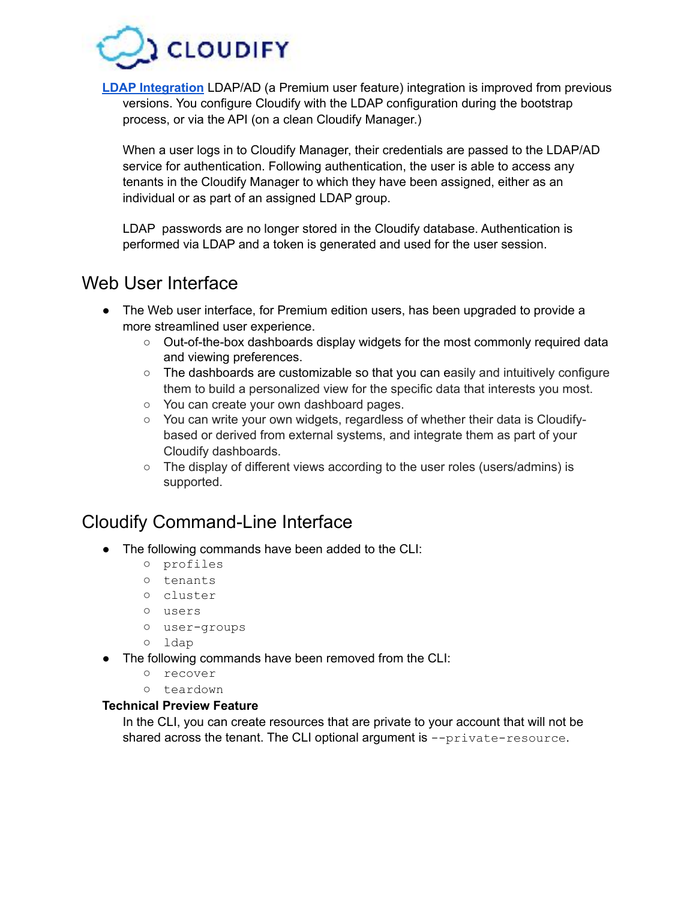

**[LDAP Integration](http://docs.getcloudify.org/4.0.0/manager/implement-multi-tenancy/)** LDAP/AD (a Premium user feature) integration is improved from previous versions. You configure Cloudify with the LDAP configuration during the bootstrap process, or via the API (on a clean Cloudify Manager.)

When a user logs in to Cloudify Manager, their credentials are passed to the LDAP/AD service for authentication. Following authentication, the user is able to access any tenants in the Cloudify Manager to which they have been assigned, either as an individual or as part of an assigned LDAP group.

LDAP passwords are no longer stored in the Cloudify database. Authentication is performed via LDAP and a token is generated and used for the user session.

### <span id="page-2-0"></span>Web User Interface

- The Web user interface, for Premium edition users, has been upgraded to provide a more streamlined user experience.
	- Out-of-the-box dashboards display widgets for the most commonly required data and viewing preferences.
	- The dashboards are customizable so that you can easily and intuitively configure them to build a personalized view for the specific data that interests you most.
	- You can create your own dashboard pages.
	- You can write your own widgets, regardless of whether their data is Cloudifybased or derived from external systems, and integrate them as part of your Cloudify dashboards.
	- The display of different views according to the user roles (users/admins) is supported.

## <span id="page-2-1"></span>Cloudify Command-Line Interface

- The following commands have been added to the CLI:
	- profiles
	- **○** tenants
	- **○** cluster
	- **○** users
	- **○** user-groups
	- **○** ldap
- The following commands have been removed from the CLI:
	- **○** recover
	- **○** teardown

#### **Technical Preview Feature**

In the CLI, you can create resources that are private to your account that will not be shared across the tenant. The CLI optional argument is  $\text{-}$ -private-resource.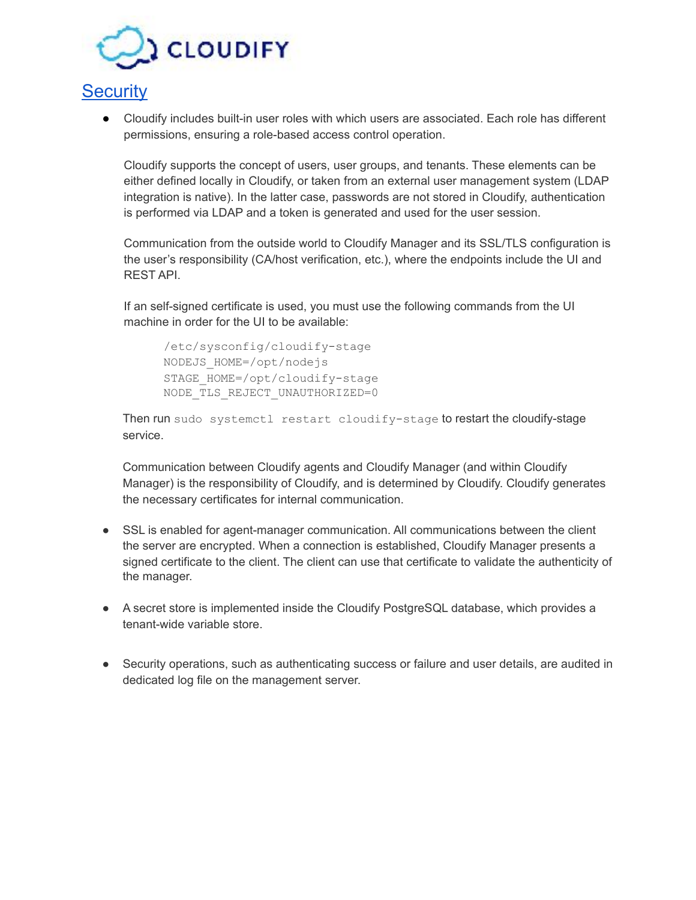

## <span id="page-3-0"></span>**[Security](http://docs.getcloudify.org/4.0.0/manager_architecture/security/)**

● Cloudify includes built-in user roles with which users are associated. Each role has different permissions, ensuring a role-based access control operation.

Cloudify supports the concept of users, user groups, and tenants. These elements can be either defined locally in Cloudify, or taken from an external user management system (LDAP integration is native). In the latter case, passwords are not stored in Cloudify, authentication is performed via LDAP and a token is generated and used for the user session.

Communication from the outside world to Cloudify Manager and its SSL/TLS configuration is the user's responsibility (CA/host verification, etc.), where the endpoints include the UI and REST API.

If an self-signed certificate is used, you must use the following commands from the UI machine in order for the UI to be available:

/etc/sysconfig/cloudify-stage NODEJS\_HOME=/opt/nodejs STAGE\_HOME=/opt/cloudify-stage NODE\_TLS\_REJECT\_UNAUTHORIZED=0

Then run sudo systemctl restart cloudify-stage to restart the cloudify-stage service.

Communication between Cloudify agents and Cloudify Manager (and within Cloudify Manager) is the responsibility of Cloudify, and is determined by Cloudify. Cloudify generates the necessary certificates for internal communication.

- SSL is enabled for agent-manager communication. All communications between the client the server are encrypted. When a connection is established, Cloudify Manager presents a signed certificate to the client. The client can use that certificate to validate the authenticity of the manager.
- A secret store is implemented inside the Cloudify PostgreSQL database, which provides a tenant-wide variable store.
- Security operations, such as authenticating success or failure and user details, are audited in dedicated log file on the management server.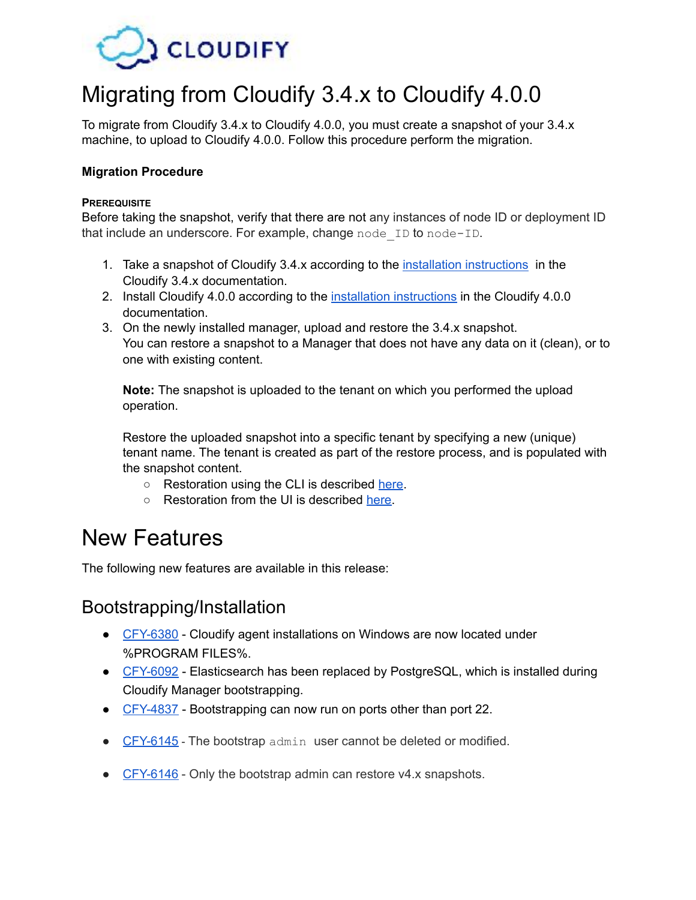

# <span id="page-4-0"></span>Migrating from Cloudify 3.4.x to Cloudify 4.0.0

To migrate from Cloudify 3.4.x to Cloudify 4.0.0, you must create a snapshot of your 3.4.x machine, to upload to Cloudify 4.0.0. Follow this procedure perform the migration.

#### **Migration Procedure**

#### **PREREQUISITE**

Before taking the snapshot, verify that there are not any instances of node ID or deployment ID that include an underscore. For example, change node ID to node-ID.

- 1. Take a snapshot of Cloudify 3.4.x according to the [installation instructions](http://docs.getcloudify.org/3.4.2/manager/snapshots/) in the Cloudify 3.4.x documentation.
- 2. Install Cloudify 4.0.0 according to the [installation instructions](http://docs.getcloudify.org/4.0.0/installation/installation-overview/) in the Cloudify 4.0.0 documentation.
- 3. On the newly installed manager, upload and restore the 3.4.x snapshot. You can restore a snapshot to a Manager that does not have any data on it (clean), or to one with existing content.

**Note:** The snapshot is uploaded to the tenant on which you performed the upload operation.

Restore the uploaded snapshot into a specific tenant by specifying a new (unique) tenant name. The tenant is created as part of the restore process, and is populated with the snapshot content.

- Restoration using the CLI is described [here.](http://docs.getcloudify.org/4.0.0/cli/snapshots/)
- Restoration from the UI is described [here.](http://docs.getcloudify.org/4.0.0/manager_webui/plugins-snapshots-page/)

# <span id="page-4-1"></span>New Features

The following new features are available in this release:

### <span id="page-4-2"></span>Bootstrapping/Installation

- [CFY-6380](https://cloudifysource.atlassian.net/browse/CFY-6380) Cloudify agent installations on Windows are now located under %PROGRAM FILES%.
- [CFY-6092](https://cloudifysource.atlassian.net/browse/CFY-6092) Elasticsearch has been replaced by PostgreSQL, which is installed during Cloudify Manager bootstrapping.
- [CFY-4837](https://cloudifysource.atlassian.net/browse/CFY-XXXX) Bootstrapping can now run on ports other than port 22.
- $\bullet$  [CFY-6145](https://cloudifysource.atlassian.net/browse/CFY-6145) The bootstrap admin user cannot be deleted or modified.
- [CFY-6146](https://cloudifysource.atlassian.net/browse/CFY-6146) Only the bootstrap admin can restore v4.x snapshots.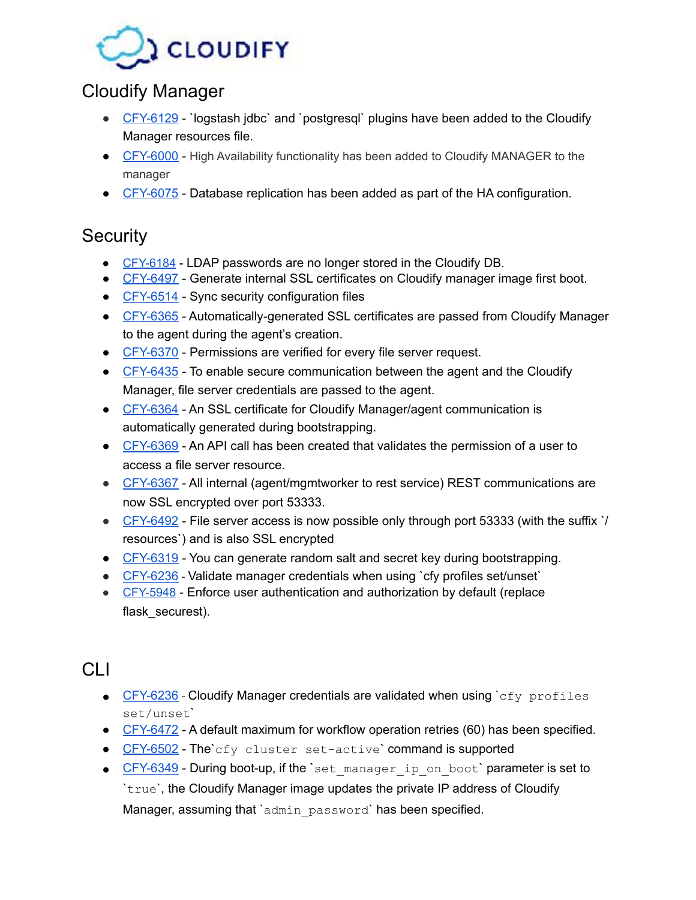

# <span id="page-5-0"></span>Cloudify Manager

- [CFY-6129](https://cloudifysource.atlassian.net/browse/CFY-6129) `logstash jdbc` and `postgresql` plugins have been added to the Cloudify Manager resources file.
- [CFY-6000](https://cloudifysource.atlassian.net/browse/CFY-6000) High Availability functionality has been added to Cloudify MANAGER to the manager
- [CFY-6075](https://cloudifysource.atlassian.net/browse/CFY-6075) Database replication has been added as part of the HA configuration.

# <span id="page-5-1"></span>**Security**

- [CFY-6184](https://cloudifysource.atlassian.net/browse/CFY-6184)  LDAP passwords are no longer stored in the Cloudify DB.
- [CFY-6497](https://cloudifysource.atlassian.net/browse/CFY-6497) Generate internal SSL certificates on Cloudify manager image first boot.
- [CFY-6514](https://cloudifysource.atlassian.net/browse/CFY-6514) Sync security configuration files
- [CFY-6365](https://cloudifysource.atlassian.net/browse/CFY-6365) Automatically-generated SSL certificates are passed from Cloudify Manager to the agent during the agent's creation.
- [CFY-6370](https://cloudifysource.atlassian.net/browse/CFY-6370) Permissions are verified for every file server request.
- [CFY-6435](https://cloudifysource.atlassian.net/browse/CFY-6435) To enable secure communication between the agent and the Cloudify Manager, file server credentials are passed to the agent.
- [CFY-6364](https://cloudifysource.atlassian.net/browse/CFY-6364) An SSL certificate for Cloudify Manager/agent communication is automatically generated during bootstrapping.
- [CFY-6369](https://cloudifysource.atlassian.net/browse/CFY-6369) An API call has been created that validates the permission of a user to access a file server resource.
- [CFY-6367](https://cloudifysource.atlassian.net/browse/CFY-6367) All internal (agent/mgmtworker to rest service) REST communications are now SSL encrypted over port 53333.
- [CFY-6492](https://cloudifysource.atlassian.net/browse/CFY-6492) File server access is now possible only through port 53333 (with the suffix `/ resources`) and is also SSL encrypted
- [CFY-6319](https://cloudifysource.atlassian.net/browse/CFY-6319) You can generate random salt and secret key during bootstrapping.
- [CFY-6236](https://cloudifysource.atlassian.net/browse/CFY-6236) Validate manager credentials when using `cfy profiles set/unset`
- [CFY-5948](https://cloudifysource.atlassian.net/browse/CFY-5948)  Enforce user authentication and authorization by default (replace flask\_securest).

# <span id="page-5-2"></span>CLI

- $CFY-6236$  Cloudify Manager credentials are validated when using  $\text{c}f_y$  profiles set/unset`
- [CFY-6472](https://cloudifysource.atlassian.net/browse/CFY-6472) A default maximum for workflow operation retries (60) has been specified.
- [CFY-6502](https://cloudifysource.atlassian.net/browse/CFY-6502) The`cfy cluster set-active` command is supported
- [CFY-6349](https://cloudifysource.atlassian.net/browse/CFY-6349) During boot-up, if the `set manager ip on boot' parameter is set to `true`, the Cloudify Manager image updates the private IP address of Cloudify Manager, assuming that `admin password` has been specified.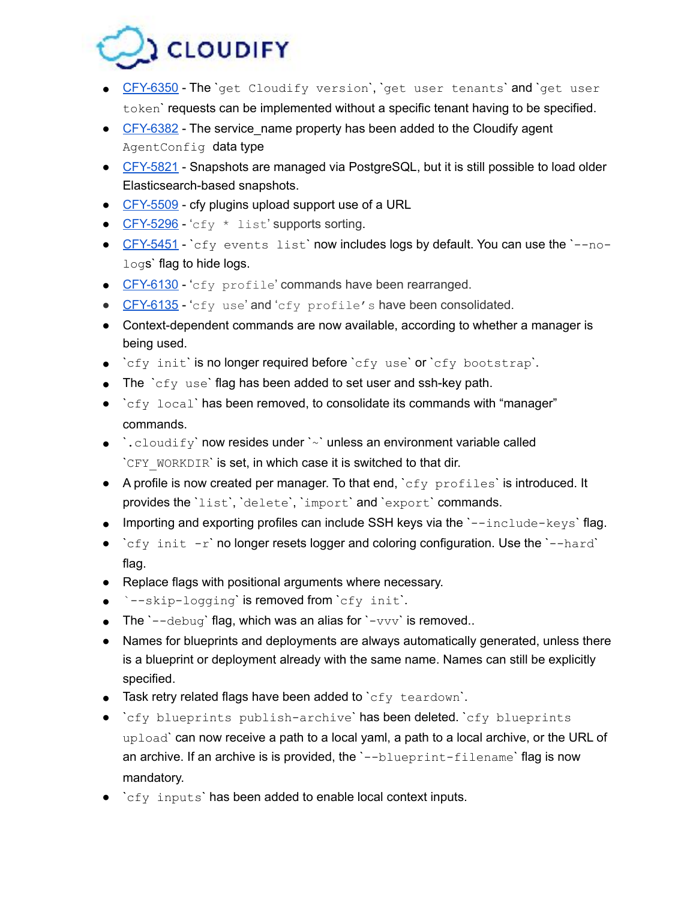

- [CFY-6350](https://cloudifysource.atlassian.net/browse/CFY-6350) The `get Cloudify version`, `get user tenants' and `get user token` requests can be implemented without a specific tenant having to be specified.
- [CFY-6382](https://cloudifysource.atlassian.net/browse/CFY-6382) The service name property has been added to the Cloudify agent AgentConfig data type
- [CFY-5821](https://cloudifysource.atlassian.net/browse/CFY-5821) Snapshots are managed via PostgreSQL, but it is still possible to load older Elasticsearch-based snapshots.
- [CFY-5509](https://cloudifysource.atlassian.net/browse/CFY-5509) cfy plugins upload support use of a URL
- [CFY-5296](https://cloudifysource.atlassian.net/browse/CFY-XXXX) 'cfy \* list' supports sorting.
- [CFY-5451](https://cloudifysource.atlassian.net/browse/CFY-5451) `cfy events list` now includes logs by default. You can use the `--nologs' flag to hide logs.
- [CFY-6130](https://cloudifysource.atlassian.net/browse/CFY-6130) 'cfy profile' commands have been rearranged.
- [CFY-6135](https://cloudifysource.atlassian.net/browse/CFY-6135) 'cfy use' and 'cfy profile's have been consolidated.
- Context-dependent commands are now available, according to whether a manager is being used.
- `cfy init` is no longer required before `cfy use` or `cfy bootstrap`.
- $\bullet$  The  $\text{`cfy}$  use' flag has been added to set user and ssh-key path.
- $\bullet$  `cfy local` has been removed, to consolidate its commands with "manager" commands.
- $\bullet$  : cloudify' now resides under '~' unless an environment variable called `CFY\_WORKDIR` is set, in which case it is switched to that dir.
- A profile is now created per manager. To that end,  $\deg$  profiles is introduced. It provides the `list`, `delete`, `import` and `export` commands.
- $\bullet$  Importing and exporting profiles can include SSH keys via the  $\text{-} \text{-} \text{include-keys'}$  flag.
- $\text{c}f\text{-}$  init  $-r$  no longer resets logger and coloring configuration. Use the  $\text{-}$ -hard` flag.
- Replace flags with positional arguments where necessary.
- `--skip-logging` is removed from `cfy init`.
- The  $\text{--debug}$  flag, which was an alias for  $\text{-}vvv$  is removed..
- Names for blueprints and deployments are always automatically generated, unless there is a blueprint or deployment already with the same name. Names can still be explicitly specified.
- $\bullet$  Task retry related flags have been added to `cfy teardown`.
- `cfy blueprints publish-archive` has been deleted. `cfy blueprints upload` can now receive a path to a local yaml, a path to a local archive, or the URL of an archive. If an archive is is provided, the '--blueprint-filename' flag is now mandatory.
- `cfy inputs` has been added to enable local context inputs.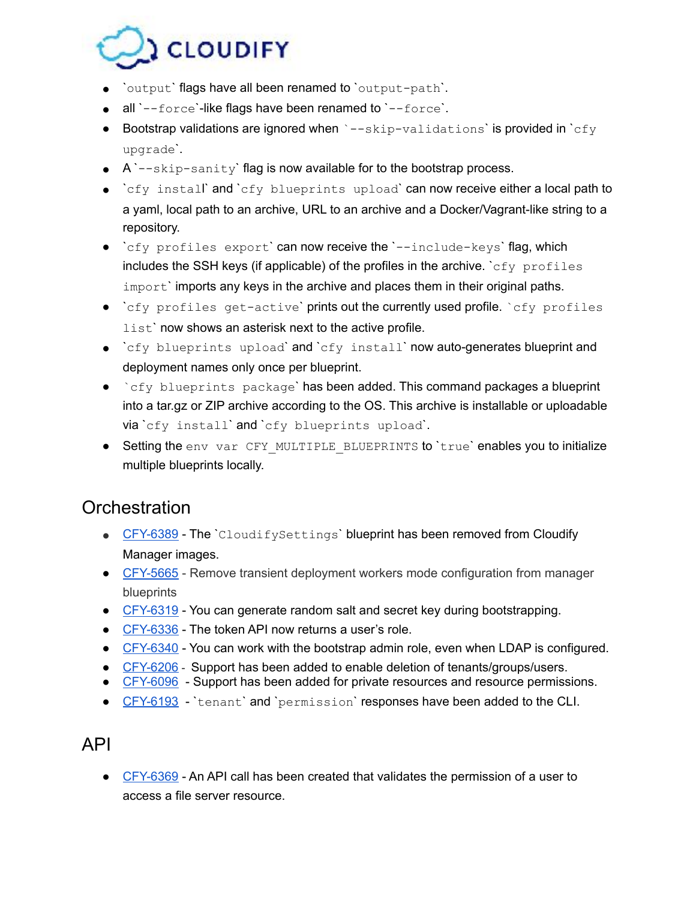

- `output` flags have all been renamed to `output-path`.
- $\bullet$  all `--force'-like flags have been renamed to `--force'.
- Bootstrap validations are ignored when  $\rightarrow -\text{skip-validations}$  is provided in  $\text{cfy}$ upgrade`.
- A `--skip-sanity` flag is now available for to the bootstrap process.
- `cfy install` and `cfy blueprints upload` can now receive either a local path to a yaml, local path to an archive, URL to an archive and a Docker/Vagrant-like string to a repository.
- $\bullet$  `cfy profiles export` can now receive the `--include-keys` flag, which includes the SSH keys (if applicable) of the profiles in the archive.  $\epsilon$   $\epsilon$   $\gamma$  profiles import` imports any keys in the archive and places them in their original paths.
- `cfy profiles get-active` prints out the currently used profile. `cfy profiles list' now shows an asterisk next to the active profile.
- `cfy blueprints upload` and `cfy install` now auto-generates blueprint and deployment names only once per blueprint.
- `cfy blueprints package` has been added. This command packages a blueprint into a tar.gz or ZIP archive according to the OS. This archive is installable or uploadable via `cfy install` and `cfy blueprints upload`.
- Setting the env var CFY MULTIPLE BLUEPRINTS to `true` enables you to initialize multiple blueprints locally.

### <span id="page-7-0"></span>**Orchestration**

- [CFY-6389](https://cloudifysource.atlassian.net/browse/CFY-6389) The `CloudifySettings` blueprint has been removed from Cloudify Manager images.
- [CFY-5665](https://cloudifysource.atlassian.net/browse/CFY-5665) Remove transient deployment workers mode configuration from manager blueprints
- [CFY-6319](https://cloudifysource.atlassian.net/browse/CFY-6319) You can generate random salt and secret key during bootstrapping.
- [CFY-6336](https://cloudifysource.atlassian.net/browse/CFY-6336) The token API now returns a user's role.
- [CFY-6340](https://cloudifysource.atlassian.net/browse/CFY-6340) You can work with the bootstrap admin role, even when LDAP is configured.
- [CFY-6206](https://cloudifysource.atlassian.net/browse/CFY-6206) Support has been added to enable deletion of tenants/groups/users.
- [CFY-6096](https://cloudifysource.atlassian.net/browse/CFY-6096) Support has been added for private resources and resource permissions.
- [CFY-6193](https://cloudifysource.atlassian.net/browse/CFY-6139) `tenant` and `permission` responses have been added to the CLI.

### <span id="page-7-1"></span>API

● [CFY-6369](https://cloudifysource.atlassian.net/browse/CFY-6369) - An API call has been created that validates the permission of a user to access a file server resource.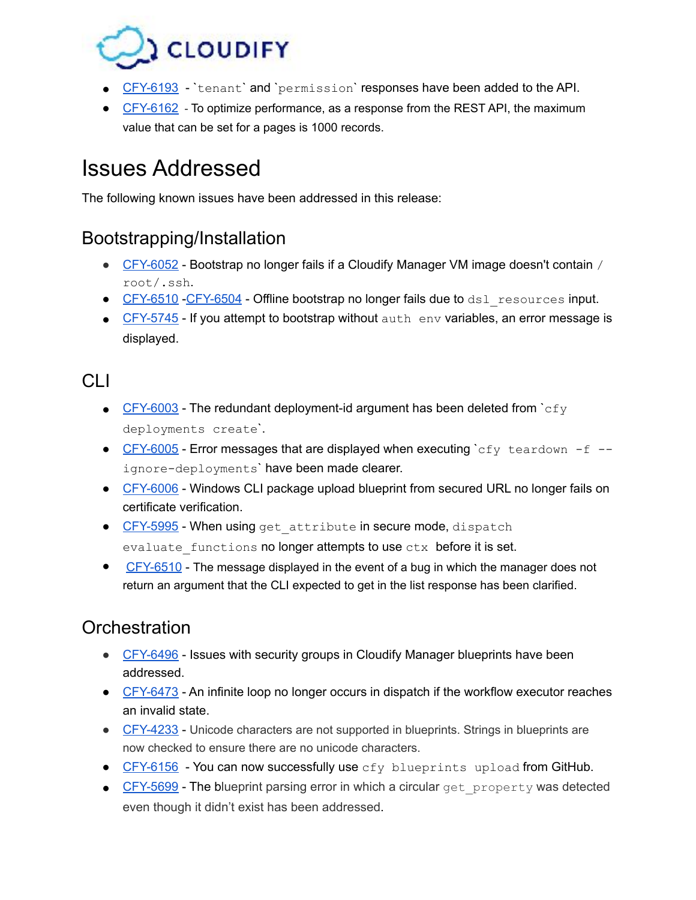

- **[CFY-6193](https://cloudifysource.atlassian.net/browse/CFY-6139)** `tenant` and `permission` responses have been added to the API.
- [CFY-6162](https://cloudifysource.atlassian.net/browse/CFY-6162) To optimize performance, as a response from the REST API, the maximum value that can be set for a pages is 1000 records.

# <span id="page-8-0"></span>Issues Addressed

The following known issues have been addressed in this release:

## <span id="page-8-1"></span>Bootstrapping/Installation

- [CFY-6052](https://cloudifysource.atlassian.net/browse/CFY-6052) Bootstrap no longer fails if a Cloudify Manager VM image doesn't contain / root/.ssh.
- **•** [CFY-6510](https://cloudifysource.atlassian.net/browse/CFY-6510) -[CFY-6504](https://cloudifysource.atlassian.net/browse/CFY-6504)  Offline bootstrap no longer fails due to dsl resources input.
- [CFY-5745](https://cloudifysource.atlassian.net/browse/CFY-5745) If you attempt to bootstrap without auth env variables, an error message is displayed.

## <span id="page-8-2"></span>CLI

- [CFY-6003](https://cloudifysource.atlassian.net/browse/CFY-6003) The redundant deployment-id argument has been deleted from  $c_{fV}$ deployments create`.
- [CFY-6005](https://cloudifysource.atlassian.net/browse/CFY-6005) Error messages that are displayed when executing `cfy teardown -f -ignore-deployments' have been made clearer.
- [CFY-6006](https://cloudifysource.atlassian.net/browse/CFY-6006) Windows CLI package upload blueprint from secured URL no longer fails on certificate verification.
- [CFY-5995](https://cloudifysource.atlassian.net/browse/CFY-5995)  When using get attribute in secure mode, dispatch evaluate functions no longer attempts to use ctx before it is set.
- **●** [CFY-6510](https://cloudifysource.atlassian.net/browse/CFY-6510) The message displayed in the event of a bug in which the manager does not return an argument that the CLI expected to get in the list response has been clarified.

# <span id="page-8-3"></span>**Orchestration**

- [CFY-6496](https://cloudifysource.atlassian.net/browse/CFY-6496) Issues with security groups in Cloudify Manager blueprints have been addressed.
- [CFY-6473](https://cloudifysource.atlassian.net/browse/CFY-6473) An infinite loop no longer occurs in dispatch if the workflow executor reaches an invalid state.
- [CFY-4233](https://cloudifysource.atlassian.net/browse/CFY-4233) Unicode characters are not supported in blueprints. Strings in blueprints are now checked to ensure there are no unicode characters.
- $\bullet$  [CFY-6156](https://cloudifysource.atlassian.net/browse/CFY-6156) You can now successfully use  $cfy$  blueprints upload from GitHub.
- [CFY-5699](https://cloudifysource.atlassian.net/browse/CFY-XXXX) The blueprint parsing error in which a circular get property was detected even though it didn't exist has been addressed.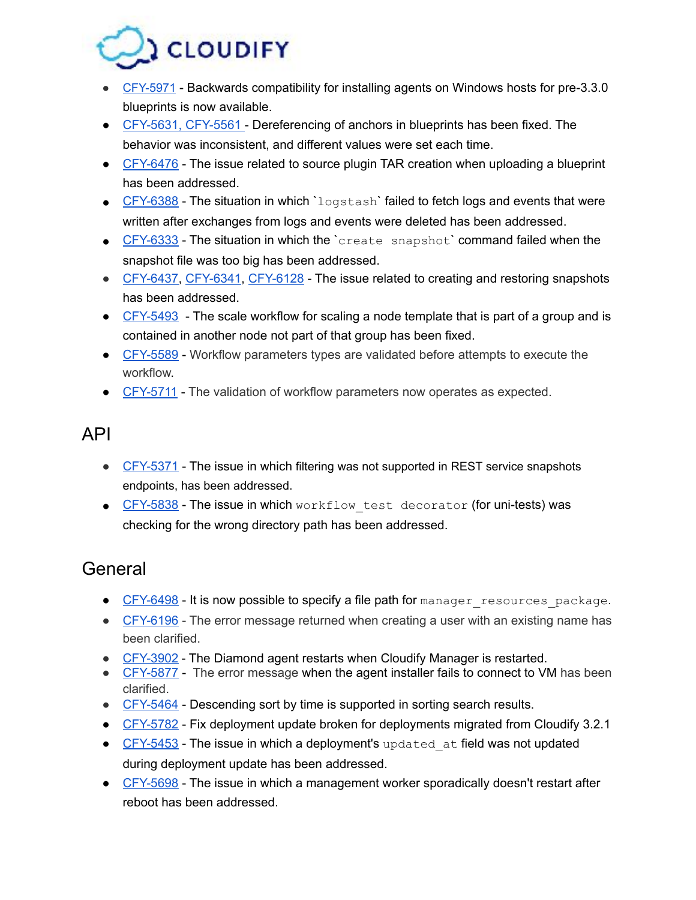

- **●** [CFY-5971](https://cloudifysource.atlassian.net/browse/CFY-5971)  Backwards compatibility for installing agents on Windows hosts for pre-3.3.0 blueprints is now available.
- [CFY-5631](https://cloudifysource.atlassian.net/browse/CFY-5631), [CFY-556](https://cloudifysource.atlassian.net/browse/CFY-5561)1 Dereferencing of anchors in blueprints has been fixed. The behavior was inconsistent, and different values were set each time.
- [CFY-6476](https://cloudifysource.atlassian.net/browse/CFY-6476) The issue related to source plugin TAR creation when uploading a blueprint has been addressed.
- $\bullet$  [CFY-6388](https://cloudifysource.atlassian.net/browse/CFY-6388) The situation in which `logstash` failed to fetch logs and events that were written after exchanges from logs and events were deleted has been addressed.
- [CFY-6333](https://cloudifysource.atlassian.net/browse/CFY-6333) The situation in which the `create snapshot` command failed when the snapshot file was too big has been addressed.
- [CFY-6437](https://cloudifysource.atlassian.net/browse/CFY-6437), [CFY-6341](https://cloudifysource.atlassian.net/browse/CFY-6341), [CFY-6128](https://cloudifysource.atlassian.net/browse/CFY-6128)  The issue related to creating and restoring snapshots has been addressed.
- $\bullet$  [CFY-5493](https://cloudifysource.atlassian.net/browse/CFY-5493) The scale workflow for scaling a node template that is part of a group and is contained in another node not part of that group has been fixed.
- [CFY-5589](https://cloudifysource.atlassian.net/browse/CFY-XXXX) Workflow parameters types are validated before attempts to execute the workflow.
- [CFY-5711](https://cloudifysource.atlassian.net/browse/CFY-XXXX) The validation of workflow parameters now operates as expected.

## <span id="page-9-0"></span>API

- [CFY-5371](https://cloudifysource.atlassian.net/browse/CFY-5371) The issue in which filtering was not supported in REST service snapshots endpoints, has been addressed.
- [CFY-5838](https://cloudifysource.atlassian.net/browse/CFY-5838) The issue in which workflow test decorator (for uni-tests) was checking for the wrong directory path has been addressed.

# <span id="page-9-1"></span>General

- [CFY-6498](https://cloudifysource.atlassian.net/browse/CFY-6498) It is now possible to specify a file path for manager resources package.
- [CFY-6196](https://cloudifysource.atlassian.net/browse/CFY-6197) The error message returned when creating a user with an existing name has been clarified.
- [CFY-3902](https://cloudifysource.atlassian.net/browse/CFY-3902) The Diamond agent restarts when Cloudify Manager is restarted.
- [CFY-5877](https://cloudifysource.atlassian.net/browse/CFY-5877) The error message when the agent installer fails to connect to VM has been clarified.
- [CFY-5464](https://cloudifysource.atlassian.net/browse/CFY-5464) Descending sort by time is supported in sorting search results.
- [CFY-5782](https://cloudifysource.atlassian.net/browse/CFY-5782) Fix deployment update broken for deployments migrated from Cloudify 3.2.1
- [CFY-5453](https://cloudifysource.atlassian.net/browse/CFY-5453) The issue in which a deployment's updated at field was not updated during deployment update has been addressed.
- [CFY-5698](https://cloudifysource.atlassian.net/browse/CFY-5698) The issue in which a management worker sporadically doesn't restart after reboot has been addressed.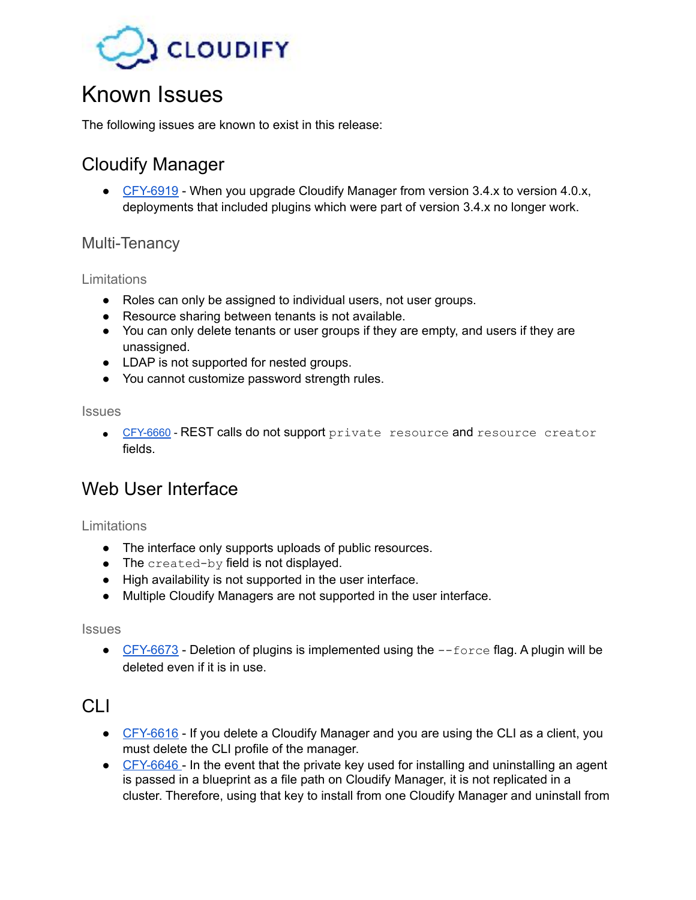

# <span id="page-10-0"></span>Known Issues

The following issues are known to exist in this release:

# <span id="page-10-1"></span>Cloudify Manager

• [CFY-6919](https://cloudifysource.atlassian.net/browse/CFY-6919) - When you upgrade Cloudify Manager from version 3.4.x to version 4.0.x, deployments that included plugins which were part of version 3.4.x no longer work.

### <span id="page-10-2"></span>Multi-Tenancy

#### <span id="page-10-3"></span>Limitations

- Roles can only be assigned to individual users, not user groups.
- Resource sharing between tenants is not available.
- You can only delete tenants or user groups if they are empty, and users if they are unassigned.
- LDAP is not supported for nested groups.
- You cannot customize password strength rules.

<span id="page-10-4"></span>**Issues** 

• [CFY-6660](https://cloudifysource.atlassian.net/browse/CFY-6660) - REST calls do not support private resource and resource creator fields.

## <span id="page-10-5"></span>Web User Interface

<span id="page-10-6"></span>Limitations

- The interface only supports uploads of public resources.
- $\bullet$  The created-by field is not displayed.
- High availability is not supported in the user interface.
- Multiple Cloudify Managers are not supported in the user interface.

#### <span id="page-10-7"></span>**Issues**

 $\bullet$  [CFY-6673](https://cloudifysource.atlassian.net/browse/CFY-6673) - Deletion of plugins is implemented using the  $\text{-}$ force flag. A plugin will be deleted even if it is in use.

### <span id="page-10-8"></span>CLI

- [CFY-6616](https://cloudifysource.atlassian.net/browse/CFY-6616) If you delete a Cloudify Manager and you are using the CLI as a client, you must delete the CLI profile of the manager.
- [CFY-6646](https://cloudifysource.atlassian.net/browse/CFY-6646)  In the event that the private key used for installing and uninstalling an agent is passed in a blueprint as a file path on Cloudify Manager, it is not replicated in a cluster. Therefore, using that key to install from one Cloudify Manager and uninstall from